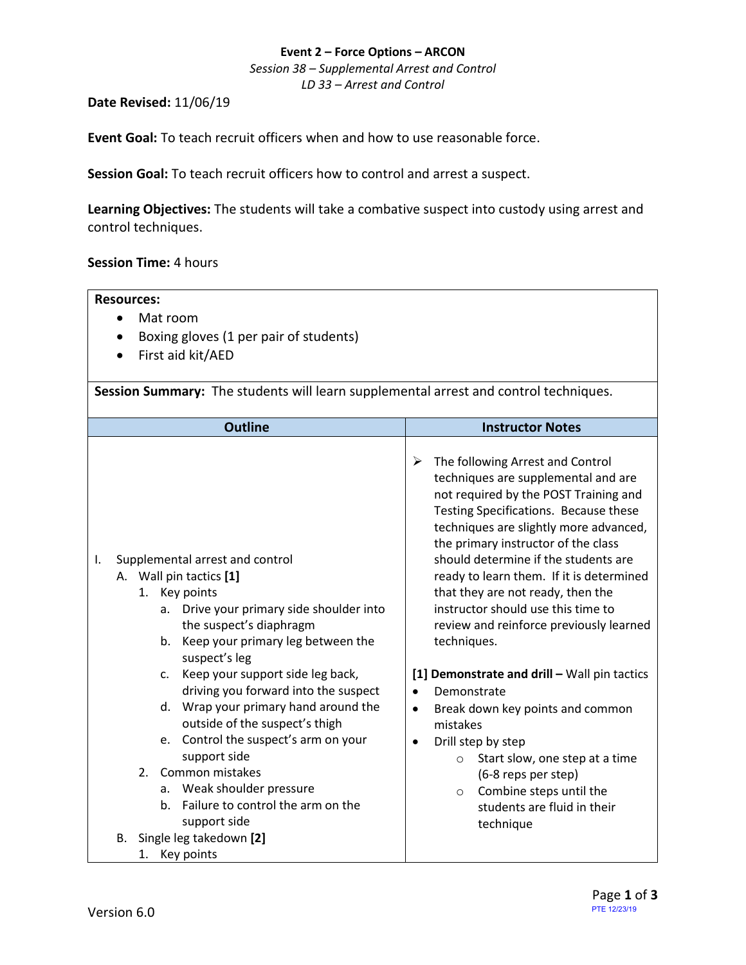#### **Event 2 – Force Options – ARCON**

*Session 38 – Supplemental Arrest and Control LD 33 – Arrest and Control*

#### **Date Revised:** 11/06/19

**Event Goal:** To teach recruit officers when and how to use reasonable force.

**Session Goal:** To teach recruit officers how to control and arrest a suspect.

**Learning Objectives:** The students will take a combative suspect into custody using arrest and control techniques.

## **Session Time:** 4 hours

| <b>Resources:</b>                                                                                                                                                                                                                                                                                                                                                                                                                                                                                                                                                                       |                                                                                                                                                                                                                                                                                                                                                                                                                                                                                                                                                                                                                                                                                                                                                                                                            |  |  |  |
|-----------------------------------------------------------------------------------------------------------------------------------------------------------------------------------------------------------------------------------------------------------------------------------------------------------------------------------------------------------------------------------------------------------------------------------------------------------------------------------------------------------------------------------------------------------------------------------------|------------------------------------------------------------------------------------------------------------------------------------------------------------------------------------------------------------------------------------------------------------------------------------------------------------------------------------------------------------------------------------------------------------------------------------------------------------------------------------------------------------------------------------------------------------------------------------------------------------------------------------------------------------------------------------------------------------------------------------------------------------------------------------------------------------|--|--|--|
| Mat room<br>$\bullet$                                                                                                                                                                                                                                                                                                                                                                                                                                                                                                                                                                   |                                                                                                                                                                                                                                                                                                                                                                                                                                                                                                                                                                                                                                                                                                                                                                                                            |  |  |  |
| Boxing gloves (1 per pair of students)                                                                                                                                                                                                                                                                                                                                                                                                                                                                                                                                                  |                                                                                                                                                                                                                                                                                                                                                                                                                                                                                                                                                                                                                                                                                                                                                                                                            |  |  |  |
| First aid kit/AED                                                                                                                                                                                                                                                                                                                                                                                                                                                                                                                                                                       |                                                                                                                                                                                                                                                                                                                                                                                                                                                                                                                                                                                                                                                                                                                                                                                                            |  |  |  |
|                                                                                                                                                                                                                                                                                                                                                                                                                                                                                                                                                                                         |                                                                                                                                                                                                                                                                                                                                                                                                                                                                                                                                                                                                                                                                                                                                                                                                            |  |  |  |
| Session Summary: The students will learn supplemental arrest and control techniques.                                                                                                                                                                                                                                                                                                                                                                                                                                                                                                    |                                                                                                                                                                                                                                                                                                                                                                                                                                                                                                                                                                                                                                                                                                                                                                                                            |  |  |  |
| <b>Outline</b>                                                                                                                                                                                                                                                                                                                                                                                                                                                                                                                                                                          | <b>Instructor Notes</b>                                                                                                                                                                                                                                                                                                                                                                                                                                                                                                                                                                                                                                                                                                                                                                                    |  |  |  |
| Supplemental arrest and control<br>I.<br>A. Wall pin tactics [1]<br>1. Key points<br>Drive your primary side shoulder into<br>а.<br>the suspect's diaphragm<br>b. Keep your primary leg between the<br>suspect's leg<br>c. Keep your support side leg back,<br>driving you forward into the suspect<br>d. Wrap your primary hand around the<br>outside of the suspect's thigh<br>e. Control the suspect's arm on your<br>support side<br>Common mistakes<br>2.<br>a. Weak shoulder pressure<br>Failure to control the arm on the<br>b.<br>support side<br>Single leg takedown [2]<br>В. | The following Arrest and Control<br>➤<br>techniques are supplemental and are<br>not required by the POST Training and<br>Testing Specifications. Because these<br>techniques are slightly more advanced,<br>the primary instructor of the class<br>should determine if the students are<br>ready to learn them. If it is determined<br>that they are not ready, then the<br>instructor should use this time to<br>review and reinforce previously learned<br>techniques.<br>[1] Demonstrate and drill - Wall pin tactics<br>Demonstrate<br>$\bullet$<br>Break down key points and common<br>$\bullet$<br>mistakes<br>Drill step by step<br>$\bullet$<br>Start slow, one step at a time<br>$\circ$<br>(6-8 reps per step)<br>Combine steps until the<br>$\circ$<br>students are fluid in their<br>technique |  |  |  |
| Key points<br>1.                                                                                                                                                                                                                                                                                                                                                                                                                                                                                                                                                                        |                                                                                                                                                                                                                                                                                                                                                                                                                                                                                                                                                                                                                                                                                                                                                                                                            |  |  |  |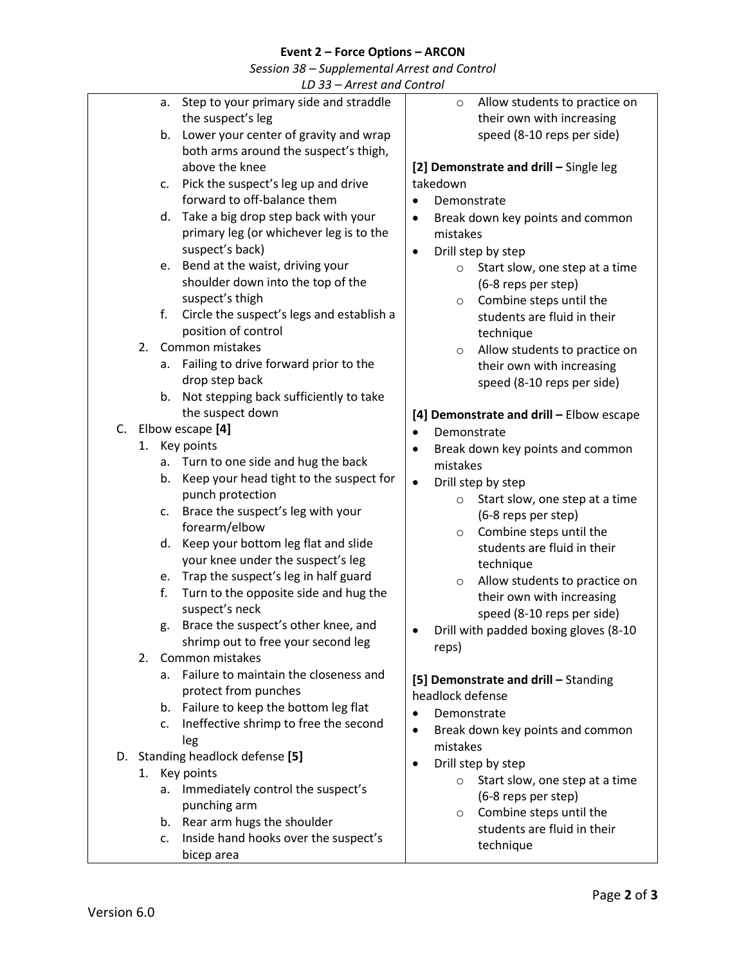# **Event 2 – Force Options – ARCON**

*Session 38 – Supplemental Arrest and Control*

| Step to your primary side and straddle<br>Allow students to practice on<br>а.<br>$\circ$<br>the suspect's leg<br>their own with increasing<br>speed (8-10 reps per side)<br>Lower your center of gravity and wrap<br>b.<br>both arms around the suspect's thigh,<br>above the knee<br>[2] Demonstrate and drill - Single leg<br>Pick the suspect's leg up and drive<br>takedown<br>C.<br>forward to off-balance them<br>Demonstrate<br>$\bullet$<br>Take a big drop step back with your<br>d.<br>Break down key points and common<br>$\bullet$<br>primary leg (or whichever leg is to the<br>mistakes<br>suspect's back)<br>Drill step by step<br>$\bullet$<br>Bend at the waist, driving your<br>e.<br>Start slow, one step at a time<br>$\circ$<br>shoulder down into the top of the<br>(6-8 reps per step)<br>suspect's thigh<br>Combine steps until the<br>$\circ$<br>f.<br>Circle the suspect's legs and establish a<br>students are fluid in their<br>position of control<br>technique<br>Common mistakes<br>2.<br>Allow students to practice on<br>$\circ$<br>Failing to drive forward prior to the<br>а.<br>their own with increasing<br>drop step back<br>speed (8-10 reps per side)<br>b. Not stepping back sufficiently to take<br>the suspect down<br>[4] Demonstrate and drill - Elbow escape<br>C. Elbow escape [4]<br>Demonstrate<br>$\bullet$<br>Key points<br>1.<br>Break down key points and common<br>$\bullet$<br>a. Turn to one side and hug the back<br>mistakes<br>Keep your head tight to the suspect for<br>b.<br>Drill step by step<br>$\bullet$<br>punch protection<br>Start slow, one step at a time<br>$\circ$<br>Brace the suspect's leg with your<br>c.<br>(6-8 reps per step)<br>forearm/elbow<br>Combine steps until the<br>$\circ$<br>Keep your bottom leg flat and slide<br>d.<br>students are fluid in their<br>your knee under the suspect's leg<br>technique<br>Trap the suspect's leg in half guard<br>e.<br>Allow students to practice on<br>$\circ$<br>f.<br>Turn to the opposite side and hug the<br>their own with increasing<br>suspect's neck<br>speed (8-10 reps per side)<br>g. Brace the suspect's other knee, and<br>Drill with padded boxing gloves (8-10<br>shrimp out to free your second leg<br>reps)<br>Common mistakes<br>2.<br>Failure to maintain the closeness and<br>а.<br>[5] Demonstrate and drill - Standing<br>protect from punches<br>headlock defense<br>b. Failure to keep the bottom leg flat<br>Demonstrate<br>$\bullet$<br>Ineffective shrimp to free the second<br>C.<br>Break down key points and common<br>$\bullet$<br>leg<br>mistakes<br>D. Standing headlock defense [5]<br>Drill step by step<br>$\bullet$<br>Key points<br>1.<br>Start slow, one step at a time<br>Immediately control the suspect's<br>а.<br>(6-8 reps per step)<br>punching arm<br>Combine steps until the<br>O<br>b. Rear arm hugs the shoulder<br>students are fluid in their<br>Inside hand hooks over the suspect's<br>c.<br>technique<br>bicep area | LD 33 - Arrest and Control |  |  |  |  |  |
|---------------------------------------------------------------------------------------------------------------------------------------------------------------------------------------------------------------------------------------------------------------------------------------------------------------------------------------------------------------------------------------------------------------------------------------------------------------------------------------------------------------------------------------------------------------------------------------------------------------------------------------------------------------------------------------------------------------------------------------------------------------------------------------------------------------------------------------------------------------------------------------------------------------------------------------------------------------------------------------------------------------------------------------------------------------------------------------------------------------------------------------------------------------------------------------------------------------------------------------------------------------------------------------------------------------------------------------------------------------------------------------------------------------------------------------------------------------------------------------------------------------------------------------------------------------------------------------------------------------------------------------------------------------------------------------------------------------------------------------------------------------------------------------------------------------------------------------------------------------------------------------------------------------------------------------------------------------------------------------------------------------------------------------------------------------------------------------------------------------------------------------------------------------------------------------------------------------------------------------------------------------------------------------------------------------------------------------------------------------------------------------------------------------------------------------------------------------------------------------------------------------------------------------------------------------------------------------------------------------------------------------------------------------------------------------------------------------------------------------------------------------------------------------------------------------------------------------------------------------------------------------------------------------------------------------------------------------------------------------------------------|----------------------------|--|--|--|--|--|
|                                                                                                                                                                                                                                                                                                                                                                                                                                                                                                                                                                                                                                                                                                                                                                                                                                                                                                                                                                                                                                                                                                                                                                                                                                                                                                                                                                                                                                                                                                                                                                                                                                                                                                                                                                                                                                                                                                                                                                                                                                                                                                                                                                                                                                                                                                                                                                                                                                                                                                                                                                                                                                                                                                                                                                                                                                                                                                                                                                                                         |                            |  |  |  |  |  |
|                                                                                                                                                                                                                                                                                                                                                                                                                                                                                                                                                                                                                                                                                                                                                                                                                                                                                                                                                                                                                                                                                                                                                                                                                                                                                                                                                                                                                                                                                                                                                                                                                                                                                                                                                                                                                                                                                                                                                                                                                                                                                                                                                                                                                                                                                                                                                                                                                                                                                                                                                                                                                                                                                                                                                                                                                                                                                                                                                                                                         |                            |  |  |  |  |  |
|                                                                                                                                                                                                                                                                                                                                                                                                                                                                                                                                                                                                                                                                                                                                                                                                                                                                                                                                                                                                                                                                                                                                                                                                                                                                                                                                                                                                                                                                                                                                                                                                                                                                                                                                                                                                                                                                                                                                                                                                                                                                                                                                                                                                                                                                                                                                                                                                                                                                                                                                                                                                                                                                                                                                                                                                                                                                                                                                                                                                         |                            |  |  |  |  |  |
|                                                                                                                                                                                                                                                                                                                                                                                                                                                                                                                                                                                                                                                                                                                                                                                                                                                                                                                                                                                                                                                                                                                                                                                                                                                                                                                                                                                                                                                                                                                                                                                                                                                                                                                                                                                                                                                                                                                                                                                                                                                                                                                                                                                                                                                                                                                                                                                                                                                                                                                                                                                                                                                                                                                                                                                                                                                                                                                                                                                                         |                            |  |  |  |  |  |
|                                                                                                                                                                                                                                                                                                                                                                                                                                                                                                                                                                                                                                                                                                                                                                                                                                                                                                                                                                                                                                                                                                                                                                                                                                                                                                                                                                                                                                                                                                                                                                                                                                                                                                                                                                                                                                                                                                                                                                                                                                                                                                                                                                                                                                                                                                                                                                                                                                                                                                                                                                                                                                                                                                                                                                                                                                                                                                                                                                                                         |                            |  |  |  |  |  |
|                                                                                                                                                                                                                                                                                                                                                                                                                                                                                                                                                                                                                                                                                                                                                                                                                                                                                                                                                                                                                                                                                                                                                                                                                                                                                                                                                                                                                                                                                                                                                                                                                                                                                                                                                                                                                                                                                                                                                                                                                                                                                                                                                                                                                                                                                                                                                                                                                                                                                                                                                                                                                                                                                                                                                                                                                                                                                                                                                                                                         |                            |  |  |  |  |  |
|                                                                                                                                                                                                                                                                                                                                                                                                                                                                                                                                                                                                                                                                                                                                                                                                                                                                                                                                                                                                                                                                                                                                                                                                                                                                                                                                                                                                                                                                                                                                                                                                                                                                                                                                                                                                                                                                                                                                                                                                                                                                                                                                                                                                                                                                                                                                                                                                                                                                                                                                                                                                                                                                                                                                                                                                                                                                                                                                                                                                         |                            |  |  |  |  |  |
|                                                                                                                                                                                                                                                                                                                                                                                                                                                                                                                                                                                                                                                                                                                                                                                                                                                                                                                                                                                                                                                                                                                                                                                                                                                                                                                                                                                                                                                                                                                                                                                                                                                                                                                                                                                                                                                                                                                                                                                                                                                                                                                                                                                                                                                                                                                                                                                                                                                                                                                                                                                                                                                                                                                                                                                                                                                                                                                                                                                                         |                            |  |  |  |  |  |
|                                                                                                                                                                                                                                                                                                                                                                                                                                                                                                                                                                                                                                                                                                                                                                                                                                                                                                                                                                                                                                                                                                                                                                                                                                                                                                                                                                                                                                                                                                                                                                                                                                                                                                                                                                                                                                                                                                                                                                                                                                                                                                                                                                                                                                                                                                                                                                                                                                                                                                                                                                                                                                                                                                                                                                                                                                                                                                                                                                                                         |                            |  |  |  |  |  |
|                                                                                                                                                                                                                                                                                                                                                                                                                                                                                                                                                                                                                                                                                                                                                                                                                                                                                                                                                                                                                                                                                                                                                                                                                                                                                                                                                                                                                                                                                                                                                                                                                                                                                                                                                                                                                                                                                                                                                                                                                                                                                                                                                                                                                                                                                                                                                                                                                                                                                                                                                                                                                                                                                                                                                                                                                                                                                                                                                                                                         |                            |  |  |  |  |  |
|                                                                                                                                                                                                                                                                                                                                                                                                                                                                                                                                                                                                                                                                                                                                                                                                                                                                                                                                                                                                                                                                                                                                                                                                                                                                                                                                                                                                                                                                                                                                                                                                                                                                                                                                                                                                                                                                                                                                                                                                                                                                                                                                                                                                                                                                                                                                                                                                                                                                                                                                                                                                                                                                                                                                                                                                                                                                                                                                                                                                         |                            |  |  |  |  |  |
|                                                                                                                                                                                                                                                                                                                                                                                                                                                                                                                                                                                                                                                                                                                                                                                                                                                                                                                                                                                                                                                                                                                                                                                                                                                                                                                                                                                                                                                                                                                                                                                                                                                                                                                                                                                                                                                                                                                                                                                                                                                                                                                                                                                                                                                                                                                                                                                                                                                                                                                                                                                                                                                                                                                                                                                                                                                                                                                                                                                                         |                            |  |  |  |  |  |
|                                                                                                                                                                                                                                                                                                                                                                                                                                                                                                                                                                                                                                                                                                                                                                                                                                                                                                                                                                                                                                                                                                                                                                                                                                                                                                                                                                                                                                                                                                                                                                                                                                                                                                                                                                                                                                                                                                                                                                                                                                                                                                                                                                                                                                                                                                                                                                                                                                                                                                                                                                                                                                                                                                                                                                                                                                                                                                                                                                                                         |                            |  |  |  |  |  |
|                                                                                                                                                                                                                                                                                                                                                                                                                                                                                                                                                                                                                                                                                                                                                                                                                                                                                                                                                                                                                                                                                                                                                                                                                                                                                                                                                                                                                                                                                                                                                                                                                                                                                                                                                                                                                                                                                                                                                                                                                                                                                                                                                                                                                                                                                                                                                                                                                                                                                                                                                                                                                                                                                                                                                                                                                                                                                                                                                                                                         |                            |  |  |  |  |  |
|                                                                                                                                                                                                                                                                                                                                                                                                                                                                                                                                                                                                                                                                                                                                                                                                                                                                                                                                                                                                                                                                                                                                                                                                                                                                                                                                                                                                                                                                                                                                                                                                                                                                                                                                                                                                                                                                                                                                                                                                                                                                                                                                                                                                                                                                                                                                                                                                                                                                                                                                                                                                                                                                                                                                                                                                                                                                                                                                                                                                         |                            |  |  |  |  |  |
|                                                                                                                                                                                                                                                                                                                                                                                                                                                                                                                                                                                                                                                                                                                                                                                                                                                                                                                                                                                                                                                                                                                                                                                                                                                                                                                                                                                                                                                                                                                                                                                                                                                                                                                                                                                                                                                                                                                                                                                                                                                                                                                                                                                                                                                                                                                                                                                                                                                                                                                                                                                                                                                                                                                                                                                                                                                                                                                                                                                                         |                            |  |  |  |  |  |
|                                                                                                                                                                                                                                                                                                                                                                                                                                                                                                                                                                                                                                                                                                                                                                                                                                                                                                                                                                                                                                                                                                                                                                                                                                                                                                                                                                                                                                                                                                                                                                                                                                                                                                                                                                                                                                                                                                                                                                                                                                                                                                                                                                                                                                                                                                                                                                                                                                                                                                                                                                                                                                                                                                                                                                                                                                                                                                                                                                                                         |                            |  |  |  |  |  |
|                                                                                                                                                                                                                                                                                                                                                                                                                                                                                                                                                                                                                                                                                                                                                                                                                                                                                                                                                                                                                                                                                                                                                                                                                                                                                                                                                                                                                                                                                                                                                                                                                                                                                                                                                                                                                                                                                                                                                                                                                                                                                                                                                                                                                                                                                                                                                                                                                                                                                                                                                                                                                                                                                                                                                                                                                                                                                                                                                                                                         |                            |  |  |  |  |  |
|                                                                                                                                                                                                                                                                                                                                                                                                                                                                                                                                                                                                                                                                                                                                                                                                                                                                                                                                                                                                                                                                                                                                                                                                                                                                                                                                                                                                                                                                                                                                                                                                                                                                                                                                                                                                                                                                                                                                                                                                                                                                                                                                                                                                                                                                                                                                                                                                                                                                                                                                                                                                                                                                                                                                                                                                                                                                                                                                                                                                         |                            |  |  |  |  |  |
|                                                                                                                                                                                                                                                                                                                                                                                                                                                                                                                                                                                                                                                                                                                                                                                                                                                                                                                                                                                                                                                                                                                                                                                                                                                                                                                                                                                                                                                                                                                                                                                                                                                                                                                                                                                                                                                                                                                                                                                                                                                                                                                                                                                                                                                                                                                                                                                                                                                                                                                                                                                                                                                                                                                                                                                                                                                                                                                                                                                                         |                            |  |  |  |  |  |
|                                                                                                                                                                                                                                                                                                                                                                                                                                                                                                                                                                                                                                                                                                                                                                                                                                                                                                                                                                                                                                                                                                                                                                                                                                                                                                                                                                                                                                                                                                                                                                                                                                                                                                                                                                                                                                                                                                                                                                                                                                                                                                                                                                                                                                                                                                                                                                                                                                                                                                                                                                                                                                                                                                                                                                                                                                                                                                                                                                                                         |                            |  |  |  |  |  |
|                                                                                                                                                                                                                                                                                                                                                                                                                                                                                                                                                                                                                                                                                                                                                                                                                                                                                                                                                                                                                                                                                                                                                                                                                                                                                                                                                                                                                                                                                                                                                                                                                                                                                                                                                                                                                                                                                                                                                                                                                                                                                                                                                                                                                                                                                                                                                                                                                                                                                                                                                                                                                                                                                                                                                                                                                                                                                                                                                                                                         |                            |  |  |  |  |  |
|                                                                                                                                                                                                                                                                                                                                                                                                                                                                                                                                                                                                                                                                                                                                                                                                                                                                                                                                                                                                                                                                                                                                                                                                                                                                                                                                                                                                                                                                                                                                                                                                                                                                                                                                                                                                                                                                                                                                                                                                                                                                                                                                                                                                                                                                                                                                                                                                                                                                                                                                                                                                                                                                                                                                                                                                                                                                                                                                                                                                         |                            |  |  |  |  |  |
|                                                                                                                                                                                                                                                                                                                                                                                                                                                                                                                                                                                                                                                                                                                                                                                                                                                                                                                                                                                                                                                                                                                                                                                                                                                                                                                                                                                                                                                                                                                                                                                                                                                                                                                                                                                                                                                                                                                                                                                                                                                                                                                                                                                                                                                                                                                                                                                                                                                                                                                                                                                                                                                                                                                                                                                                                                                                                                                                                                                                         |                            |  |  |  |  |  |
|                                                                                                                                                                                                                                                                                                                                                                                                                                                                                                                                                                                                                                                                                                                                                                                                                                                                                                                                                                                                                                                                                                                                                                                                                                                                                                                                                                                                                                                                                                                                                                                                                                                                                                                                                                                                                                                                                                                                                                                                                                                                                                                                                                                                                                                                                                                                                                                                                                                                                                                                                                                                                                                                                                                                                                                                                                                                                                                                                                                                         |                            |  |  |  |  |  |
|                                                                                                                                                                                                                                                                                                                                                                                                                                                                                                                                                                                                                                                                                                                                                                                                                                                                                                                                                                                                                                                                                                                                                                                                                                                                                                                                                                                                                                                                                                                                                                                                                                                                                                                                                                                                                                                                                                                                                                                                                                                                                                                                                                                                                                                                                                                                                                                                                                                                                                                                                                                                                                                                                                                                                                                                                                                                                                                                                                                                         |                            |  |  |  |  |  |
|                                                                                                                                                                                                                                                                                                                                                                                                                                                                                                                                                                                                                                                                                                                                                                                                                                                                                                                                                                                                                                                                                                                                                                                                                                                                                                                                                                                                                                                                                                                                                                                                                                                                                                                                                                                                                                                                                                                                                                                                                                                                                                                                                                                                                                                                                                                                                                                                                                                                                                                                                                                                                                                                                                                                                                                                                                                                                                                                                                                                         |                            |  |  |  |  |  |
|                                                                                                                                                                                                                                                                                                                                                                                                                                                                                                                                                                                                                                                                                                                                                                                                                                                                                                                                                                                                                                                                                                                                                                                                                                                                                                                                                                                                                                                                                                                                                                                                                                                                                                                                                                                                                                                                                                                                                                                                                                                                                                                                                                                                                                                                                                                                                                                                                                                                                                                                                                                                                                                                                                                                                                                                                                                                                                                                                                                                         |                            |  |  |  |  |  |
|                                                                                                                                                                                                                                                                                                                                                                                                                                                                                                                                                                                                                                                                                                                                                                                                                                                                                                                                                                                                                                                                                                                                                                                                                                                                                                                                                                                                                                                                                                                                                                                                                                                                                                                                                                                                                                                                                                                                                                                                                                                                                                                                                                                                                                                                                                                                                                                                                                                                                                                                                                                                                                                                                                                                                                                                                                                                                                                                                                                                         |                            |  |  |  |  |  |
|                                                                                                                                                                                                                                                                                                                                                                                                                                                                                                                                                                                                                                                                                                                                                                                                                                                                                                                                                                                                                                                                                                                                                                                                                                                                                                                                                                                                                                                                                                                                                                                                                                                                                                                                                                                                                                                                                                                                                                                                                                                                                                                                                                                                                                                                                                                                                                                                                                                                                                                                                                                                                                                                                                                                                                                                                                                                                                                                                                                                         |                            |  |  |  |  |  |
|                                                                                                                                                                                                                                                                                                                                                                                                                                                                                                                                                                                                                                                                                                                                                                                                                                                                                                                                                                                                                                                                                                                                                                                                                                                                                                                                                                                                                                                                                                                                                                                                                                                                                                                                                                                                                                                                                                                                                                                                                                                                                                                                                                                                                                                                                                                                                                                                                                                                                                                                                                                                                                                                                                                                                                                                                                                                                                                                                                                                         |                            |  |  |  |  |  |
|                                                                                                                                                                                                                                                                                                                                                                                                                                                                                                                                                                                                                                                                                                                                                                                                                                                                                                                                                                                                                                                                                                                                                                                                                                                                                                                                                                                                                                                                                                                                                                                                                                                                                                                                                                                                                                                                                                                                                                                                                                                                                                                                                                                                                                                                                                                                                                                                                                                                                                                                                                                                                                                                                                                                                                                                                                                                                                                                                                                                         |                            |  |  |  |  |  |
|                                                                                                                                                                                                                                                                                                                                                                                                                                                                                                                                                                                                                                                                                                                                                                                                                                                                                                                                                                                                                                                                                                                                                                                                                                                                                                                                                                                                                                                                                                                                                                                                                                                                                                                                                                                                                                                                                                                                                                                                                                                                                                                                                                                                                                                                                                                                                                                                                                                                                                                                                                                                                                                                                                                                                                                                                                                                                                                                                                                                         |                            |  |  |  |  |  |
|                                                                                                                                                                                                                                                                                                                                                                                                                                                                                                                                                                                                                                                                                                                                                                                                                                                                                                                                                                                                                                                                                                                                                                                                                                                                                                                                                                                                                                                                                                                                                                                                                                                                                                                                                                                                                                                                                                                                                                                                                                                                                                                                                                                                                                                                                                                                                                                                                                                                                                                                                                                                                                                                                                                                                                                                                                                                                                                                                                                                         |                            |  |  |  |  |  |
|                                                                                                                                                                                                                                                                                                                                                                                                                                                                                                                                                                                                                                                                                                                                                                                                                                                                                                                                                                                                                                                                                                                                                                                                                                                                                                                                                                                                                                                                                                                                                                                                                                                                                                                                                                                                                                                                                                                                                                                                                                                                                                                                                                                                                                                                                                                                                                                                                                                                                                                                                                                                                                                                                                                                                                                                                                                                                                                                                                                                         |                            |  |  |  |  |  |
|                                                                                                                                                                                                                                                                                                                                                                                                                                                                                                                                                                                                                                                                                                                                                                                                                                                                                                                                                                                                                                                                                                                                                                                                                                                                                                                                                                                                                                                                                                                                                                                                                                                                                                                                                                                                                                                                                                                                                                                                                                                                                                                                                                                                                                                                                                                                                                                                                                                                                                                                                                                                                                                                                                                                                                                                                                                                                                                                                                                                         |                            |  |  |  |  |  |
|                                                                                                                                                                                                                                                                                                                                                                                                                                                                                                                                                                                                                                                                                                                                                                                                                                                                                                                                                                                                                                                                                                                                                                                                                                                                                                                                                                                                                                                                                                                                                                                                                                                                                                                                                                                                                                                                                                                                                                                                                                                                                                                                                                                                                                                                                                                                                                                                                                                                                                                                                                                                                                                                                                                                                                                                                                                                                                                                                                                                         |                            |  |  |  |  |  |
|                                                                                                                                                                                                                                                                                                                                                                                                                                                                                                                                                                                                                                                                                                                                                                                                                                                                                                                                                                                                                                                                                                                                                                                                                                                                                                                                                                                                                                                                                                                                                                                                                                                                                                                                                                                                                                                                                                                                                                                                                                                                                                                                                                                                                                                                                                                                                                                                                                                                                                                                                                                                                                                                                                                                                                                                                                                                                                                                                                                                         |                            |  |  |  |  |  |
|                                                                                                                                                                                                                                                                                                                                                                                                                                                                                                                                                                                                                                                                                                                                                                                                                                                                                                                                                                                                                                                                                                                                                                                                                                                                                                                                                                                                                                                                                                                                                                                                                                                                                                                                                                                                                                                                                                                                                                                                                                                                                                                                                                                                                                                                                                                                                                                                                                                                                                                                                                                                                                                                                                                                                                                                                                                                                                                                                                                                         |                            |  |  |  |  |  |
|                                                                                                                                                                                                                                                                                                                                                                                                                                                                                                                                                                                                                                                                                                                                                                                                                                                                                                                                                                                                                                                                                                                                                                                                                                                                                                                                                                                                                                                                                                                                                                                                                                                                                                                                                                                                                                                                                                                                                                                                                                                                                                                                                                                                                                                                                                                                                                                                                                                                                                                                                                                                                                                                                                                                                                                                                                                                                                                                                                                                         |                            |  |  |  |  |  |
|                                                                                                                                                                                                                                                                                                                                                                                                                                                                                                                                                                                                                                                                                                                                                                                                                                                                                                                                                                                                                                                                                                                                                                                                                                                                                                                                                                                                                                                                                                                                                                                                                                                                                                                                                                                                                                                                                                                                                                                                                                                                                                                                                                                                                                                                                                                                                                                                                                                                                                                                                                                                                                                                                                                                                                                                                                                                                                                                                                                                         |                            |  |  |  |  |  |
|                                                                                                                                                                                                                                                                                                                                                                                                                                                                                                                                                                                                                                                                                                                                                                                                                                                                                                                                                                                                                                                                                                                                                                                                                                                                                                                                                                                                                                                                                                                                                                                                                                                                                                                                                                                                                                                                                                                                                                                                                                                                                                                                                                                                                                                                                                                                                                                                                                                                                                                                                                                                                                                                                                                                                                                                                                                                                                                                                                                                         |                            |  |  |  |  |  |
|                                                                                                                                                                                                                                                                                                                                                                                                                                                                                                                                                                                                                                                                                                                                                                                                                                                                                                                                                                                                                                                                                                                                                                                                                                                                                                                                                                                                                                                                                                                                                                                                                                                                                                                                                                                                                                                                                                                                                                                                                                                                                                                                                                                                                                                                                                                                                                                                                                                                                                                                                                                                                                                                                                                                                                                                                                                                                                                                                                                                         |                            |  |  |  |  |  |
|                                                                                                                                                                                                                                                                                                                                                                                                                                                                                                                                                                                                                                                                                                                                                                                                                                                                                                                                                                                                                                                                                                                                                                                                                                                                                                                                                                                                                                                                                                                                                                                                                                                                                                                                                                                                                                                                                                                                                                                                                                                                                                                                                                                                                                                                                                                                                                                                                                                                                                                                                                                                                                                                                                                                                                                                                                                                                                                                                                                                         |                            |  |  |  |  |  |
|                                                                                                                                                                                                                                                                                                                                                                                                                                                                                                                                                                                                                                                                                                                                                                                                                                                                                                                                                                                                                                                                                                                                                                                                                                                                                                                                                                                                                                                                                                                                                                                                                                                                                                                                                                                                                                                                                                                                                                                                                                                                                                                                                                                                                                                                                                                                                                                                                                                                                                                                                                                                                                                                                                                                                                                                                                                                                                                                                                                                         |                            |  |  |  |  |  |
|                                                                                                                                                                                                                                                                                                                                                                                                                                                                                                                                                                                                                                                                                                                                                                                                                                                                                                                                                                                                                                                                                                                                                                                                                                                                                                                                                                                                                                                                                                                                                                                                                                                                                                                                                                                                                                                                                                                                                                                                                                                                                                                                                                                                                                                                                                                                                                                                                                                                                                                                                                                                                                                                                                                                                                                                                                                                                                                                                                                                         |                            |  |  |  |  |  |
|                                                                                                                                                                                                                                                                                                                                                                                                                                                                                                                                                                                                                                                                                                                                                                                                                                                                                                                                                                                                                                                                                                                                                                                                                                                                                                                                                                                                                                                                                                                                                                                                                                                                                                                                                                                                                                                                                                                                                                                                                                                                                                                                                                                                                                                                                                                                                                                                                                                                                                                                                                                                                                                                                                                                                                                                                                                                                                                                                                                                         |                            |  |  |  |  |  |
|                                                                                                                                                                                                                                                                                                                                                                                                                                                                                                                                                                                                                                                                                                                                                                                                                                                                                                                                                                                                                                                                                                                                                                                                                                                                                                                                                                                                                                                                                                                                                                                                                                                                                                                                                                                                                                                                                                                                                                                                                                                                                                                                                                                                                                                                                                                                                                                                                                                                                                                                                                                                                                                                                                                                                                                                                                                                                                                                                                                                         |                            |  |  |  |  |  |